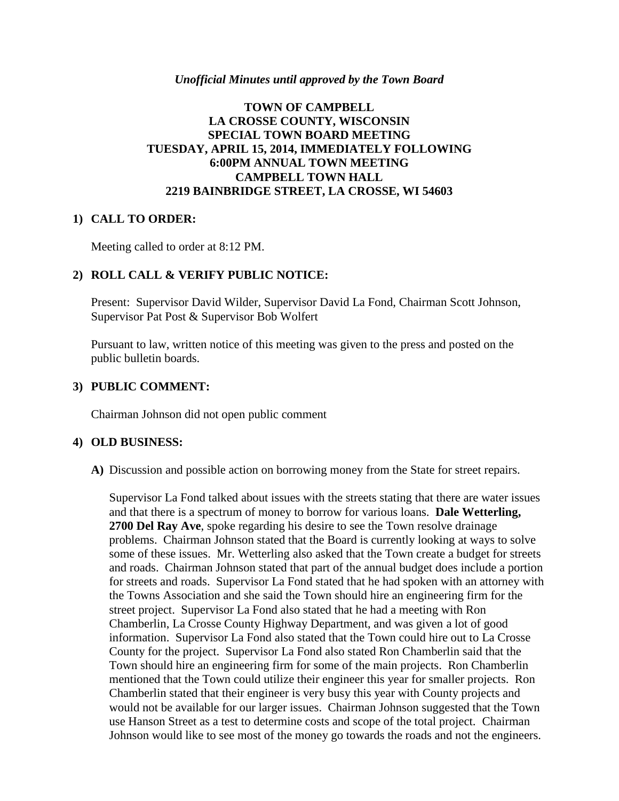#### *Unofficial Minutes until approved by the Town Board*

## **TOWN OF CAMPBELL LA CROSSE COUNTY, WISCONSIN SPECIAL TOWN BOARD MEETING TUESDAY, APRIL 15, 2014, IMMEDIATELY FOLLOWING 6:00PM ANNUAL TOWN MEETING CAMPBELL TOWN HALL 2219 BAINBRIDGE STREET, LA CROSSE, WI 54603**

#### **1) CALL TO ORDER:**

Meeting called to order at 8:12 PM.

## **2) ROLL CALL & VERIFY PUBLIC NOTICE:**

Present: Supervisor David Wilder, Supervisor David La Fond, Chairman Scott Johnson, Supervisor Pat Post & Supervisor Bob Wolfert

Pursuant to law, written notice of this meeting was given to the press and posted on the public bulletin boards.

#### **3) PUBLIC COMMENT:**

Chairman Johnson did not open public comment

### **4) OLD BUSINESS:**

**A)** Discussion and possible action on borrowing money from the State for street repairs.

Supervisor La Fond talked about issues with the streets stating that there are water issues and that there is a spectrum of money to borrow for various loans. **Dale Wetterling, 2700 Del Ray Ave**, spoke regarding his desire to see the Town resolve drainage problems. Chairman Johnson stated that the Board is currently looking at ways to solve some of these issues. Mr. Wetterling also asked that the Town create a budget for streets and roads. Chairman Johnson stated that part of the annual budget does include a portion for streets and roads. Supervisor La Fond stated that he had spoken with an attorney with the Towns Association and she said the Town should hire an engineering firm for the street project. Supervisor La Fond also stated that he had a meeting with Ron Chamberlin, La Crosse County Highway Department, and was given a lot of good information. Supervisor La Fond also stated that the Town could hire out to La Crosse County for the project. Supervisor La Fond also stated Ron Chamberlin said that the Town should hire an engineering firm for some of the main projects. Ron Chamberlin mentioned that the Town could utilize their engineer this year for smaller projects. Ron Chamberlin stated that their engineer is very busy this year with County projects and would not be available for our larger issues. Chairman Johnson suggested that the Town use Hanson Street as a test to determine costs and scope of the total project. Chairman Johnson would like to see most of the money go towards the roads and not the engineers.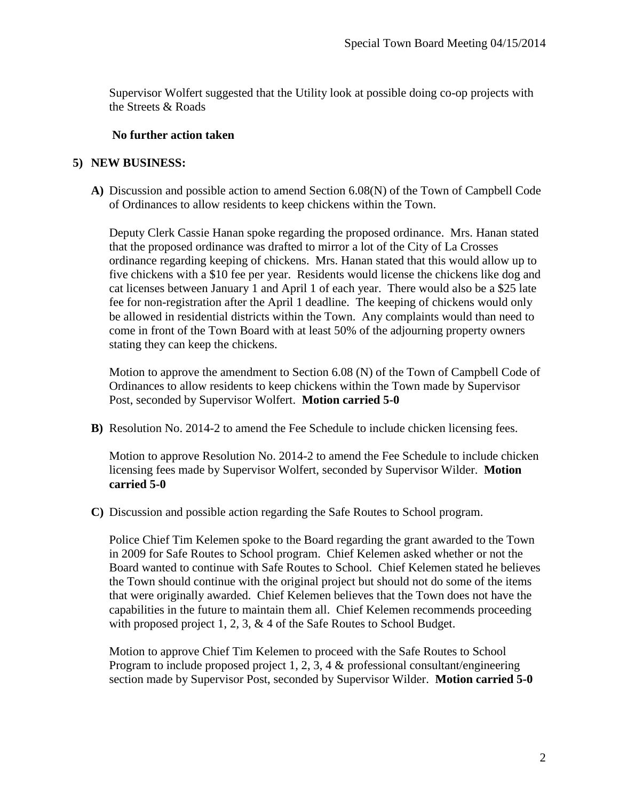Supervisor Wolfert suggested that the Utility look at possible doing co-op projects with the Streets & Roads

## **No further action taken**

## **5) NEW BUSINESS:**

**A)** Discussion and possible action to amend Section 6.08(N) of the Town of Campbell Code of Ordinances to allow residents to keep chickens within the Town.

Deputy Clerk Cassie Hanan spoke regarding the proposed ordinance. Mrs. Hanan stated that the proposed ordinance was drafted to mirror a lot of the City of La Crosses ordinance regarding keeping of chickens. Mrs. Hanan stated that this would allow up to five chickens with a \$10 fee per year. Residents would license the chickens like dog and cat licenses between January 1 and April 1 of each year. There would also be a \$25 late fee for non-registration after the April 1 deadline. The keeping of chickens would only be allowed in residential districts within the Town. Any complaints would than need to come in front of the Town Board with at least 50% of the adjourning property owners stating they can keep the chickens.

Motion to approve the amendment to Section 6.08 (N) of the Town of Campbell Code of Ordinances to allow residents to keep chickens within the Town made by Supervisor Post, seconded by Supervisor Wolfert. **Motion carried 5-0**

**B)** Resolution No. 2014-2 to amend the Fee Schedule to include chicken licensing fees.

Motion to approve Resolution No. 2014-2 to amend the Fee Schedule to include chicken licensing fees made by Supervisor Wolfert, seconded by Supervisor Wilder. **Motion carried 5-0**

**C)** Discussion and possible action regarding the Safe Routes to School program.

Police Chief Tim Kelemen spoke to the Board regarding the grant awarded to the Town in 2009 for Safe Routes to School program. Chief Kelemen asked whether or not the Board wanted to continue with Safe Routes to School. Chief Kelemen stated he believes the Town should continue with the original project but should not do some of the items that were originally awarded. Chief Kelemen believes that the Town does not have the capabilities in the future to maintain them all. Chief Kelemen recommends proceeding with proposed project 1, 2, 3, & 4 of the Safe Routes to School Budget.

Motion to approve Chief Tim Kelemen to proceed with the Safe Routes to School Program to include proposed project 1, 2, 3, 4 & professional consultant/engineering section made by Supervisor Post, seconded by Supervisor Wilder. **Motion carried 5-0**